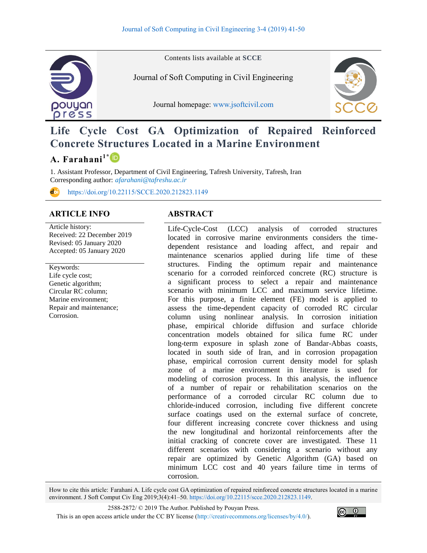

Contents lists available at **SCCE**

Journal of Soft Computing in Civil Engineering

Journal homepage: [www.jsoftcivil.com](http://www.jsoftcivil.com/)



# **Life Cycle Cost GA Optimization of Repaired Reinforced Concrete Structures Located in a Marine Environment**

# **A. Farahani1\***

1. Assistant Professor, Department of Civil Engineering, Tafresh University, Tafresh, Iran Corresponding author: *[afarahani@tafreshu.ac.ir](mailto:afarahani@tafreshu.ac.ir)*

<https://doi.org/10.22115/SCCE.2020.212823.1149>

#### **ARTICLE INFO ABSTRACT**

Article history: Received: 22 December 2019 Revised: 05 January 2020 Accepted: 05 January 2020

Keywords: Life cycle cost; Genetic algorithm; Circular RC column; Marine environment; Repair and maintenance; Corrosion.

Life-Cycle-Cost (LCC) analysis of corroded structures located in corrosive marine environments considers the timedependent resistance and loading affect, and repair and maintenance scenarios applied during life time of these structures. Finding the optimum repair and maintenance scenario for a corroded reinforced concrete (RC) structure is a significant process to select a repair and maintenance scenario with minimum LCC and maximum service lifetime. For this purpose, a finite element (FE) model is applied to assess the time-dependent capacity of corroded RC circular column using nonlinear analysis. In corrosion initiation phase, empirical chloride diffusion and surface chloride concentration models obtained for silica fume RC under long-term exposure in splash zone of Bandar-Abbas coasts, located in south side of Iran, and in corrosion propagation phase, empirical corrosion current density model for splash zone of a marine environment in literature is used for modeling of corrosion process. In this analysis, the influence of a number of repair or rehabilitation scenarios on the performance of a corroded circular RC column due to chloride-induced corrosion, including five different concrete surface coatings used on the external surface of concrete, four different increasing concrete cover thickness and using the new longitudinal and horizontal reinforcements after the initial cracking of concrete cover are investigated. These 11 different scenarios with considering a scenario without any repair are optimized by Genetic Algorithm (GA) based on minimum LCC cost and 40 years failure time in terms of corrosion.

How to cite this article: Farahani A. Life cycle cost GA optimization of repaired reinforced concrete structures located in a marine environment. J Soft Comput Civ Eng 2019;3(4):41–50. [https://doi.org/10.22115/scce.2020.212823.1149.](https://doi.org/10.22115/SCCE.2020.212823.1149)

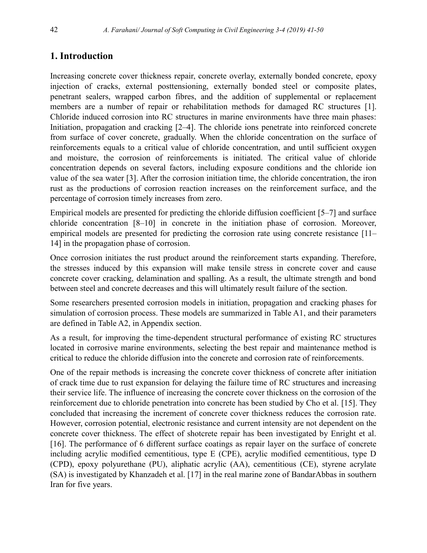# **1. Introduction**

Increasing concrete cover thickness repair, concrete overlay, externally bonded concrete, epoxy injection of cracks, external posttensioning, externally bonded steel or composite plates, penetrant sealers, wrapped carbon fibres, and the addition of supplemental or replacement members are a number of repair or rehabilitation methods for damaged RC structures [1]. Chloride induced corrosion into RC structures in marine environments have three main phases: Initiation, propagation and cracking [2–4]. The chloride ions penetrate into reinforced concrete from surface of cover concrete, gradually. When the chloride concentration on the surface of reinforcements equals to a critical value of chloride concentration, and until sufficient oxygen and moisture, the corrosion of reinforcements is initiated. The critical value of chloride concentration depends on several factors, including exposure conditions and the chloride ion value of the sea water [3]. After the corrosion initiation time, the chloride concentration, the iron rust as the productions of corrosion reaction increases on the reinforcement surface, and the percentage of corrosion timely increases from zero.

Empirical models are presented for predicting the chloride diffusion coefficient [5–7] and surface chloride concentration [8–10] in concrete in the initiation phase of corrosion. Moreover, empirical models are presented for predicting the corrosion rate using concrete resistance [11– 14] in the propagation phase of corrosion.

Once corrosion initiates the rust product around the reinforcement starts expanding. Therefore, the stresses induced by this expansion will make tensile stress in concrete cover and cause concrete cover cracking, delamination and spalling. As a result, the ultimate strength and bond between steel and concrete decreases and this will ultimately result failure of the section.

Some researchers presented corrosion models in initiation, propagation and cracking phases for simulation of corrosion process. These models are summarized in Table A1, and their parameters are defined in Table A2, in Appendix section.

As a result, for improving the time-dependent structural performance of existing RC structures located in corrosive marine environments, selecting the best repair and maintenance method is critical to reduce the chloride diffusion into the concrete and corrosion rate of reinforcements.

One of the repair methods is increasing the concrete cover thickness of concrete after initiation of crack time due to rust expansion for delaying the failure time of RC structures and increasing their service life. The influence of increasing the concrete cover thickness on the corrosion of the reinforcement due to chloride penetration into concrete has been studied by Cho et al. [15]. They concluded that increasing the increment of concrete cover thickness reduces the corrosion rate. However, corrosion potential, electronic resistance and current intensity are not dependent on the concrete cover thickness. The effect of shotcrete repair has been investigated by Enright et al. [16]. The performance of 6 different surface coatings as repair layer on the surface of concrete including acrylic modified cementitious, type E (CPE), acrylic modified cementitious, type D (CPD), epoxy polyurethane (PU), aliphatic acrylic (AA), cementitious (CE), styrene acrylate (SA) is investigated by Khanzadeh et al. [17] in the real marine zone of BandarAbbas in southern Iran for five years.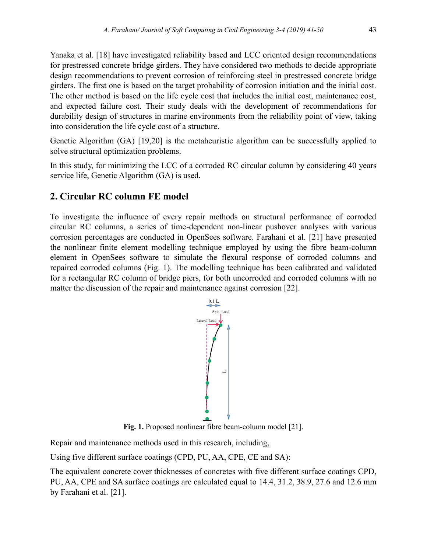Yanaka et al. [18] have investigated reliability based and LCC oriented design recommendations for prestressed concrete bridge girders. They have considered two methods to decide appropriate design recommendations to prevent corrosion of reinforcing steel in prestressed concrete bridge girders. The first one is based on the target probability of corrosion initiation and the initial cost. The other method is based on the life cycle cost that includes the initial cost, maintenance cost, and expected failure cost. Their study deals with the development of recommendations for durability design of structures in marine environments from the reliability point of view, taking into consideration the life cycle cost of a structure.

Genetic Algorithm (GA) [19,20] is the metaheuristic algorithm can be successfully applied to solve structural optimization problems.

In this study, for minimizing the LCC of a corroded RC circular column by considering 40 years service life, Genetic Algorithm (GA) is used.

## **2. Circular RC column FE model**

To investigate the influence of every repair methods on structural performance of corroded circular RC columns, a series of time-dependent non-linear pushover analyses with various corrosion percentages are conducted in OpenSees software. Farahani et al. [21] have presented the nonlinear finite element modelling technique employed by using the fibre beam-column element in OpenSees software to simulate the flexural response of corroded columns and repaired corroded columns (Fig. 1). The modelling technique has been calibrated and validated for a rectangular RC column of bridge piers, for both uncorroded and corroded columns with no matter the discussion of the repair and maintenance against corrosion [22].



**Fig. 1.** Proposed nonlinear fibre beam-column model [21].

Repair and maintenance methods used in this research, including,

Using five different surface coatings (CPD, PU, AA, CPE, CE and SA):

The equivalent concrete cover thicknesses of concretes with five different surface coatings CPD, PU, AA, CPE and SA surface coatings are calculated equal to 14.4, 31.2, 38.9, 27.6 and 12.6 mm by Farahani et al. [21].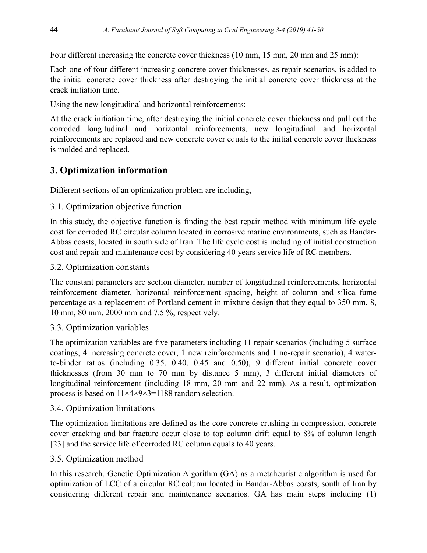Four different increasing the concrete cover thickness (10 mm, 15 mm, 20 mm and 25 mm):

Each one of four different increasing concrete cover thicknesses, as repair scenarios, is added to the initial concrete cover thickness after destroying the initial concrete cover thickness at the crack initiation time.

Using the new longitudinal and horizontal reinforcements:

At the crack initiation time, after destroying the initial concrete cover thickness and pull out the corroded longitudinal and horizontal reinforcements, new longitudinal and horizontal reinforcements are replaced and new concrete cover equals to the initial concrete cover thickness is molded and replaced.

# **3. Optimization information**

Different sections of an optimization problem are including,

### 3.1. Optimization objective function

In this study, the objective function is finding the best repair method with minimum life cycle cost for corroded RC circular column located in corrosive marine environments, such as Bandar-Abbas coasts, located in south side of Iran. The life cycle cost is including of initial construction cost and repair and maintenance cost by considering 40 years service life of RC members.

### 3.2. Optimization constants

The constant parameters are section diameter, number of longitudinal reinforcements, horizontal reinforcement diameter, horizontal reinforcement spacing, height of column and silica fume percentage as a replacement of Portland cement in mixture design that they equal to 350 mm, 8, 10 mm, 80 mm, 2000 mm and 7.5 %, respectively.

#### 3.3. Optimization variables

The optimization variables are five parameters including 11 repair scenarios (including 5 surface coatings, 4 increasing concrete cover, 1 new reinforcements and 1 no-repair scenario), 4 waterto-binder ratios (including 0.35, 0.40, 0.45 and 0.50), 9 different initial concrete cover thicknesses (from 30 mm to 70 mm by distance 5 mm), 3 different initial diameters of longitudinal reinforcement (including 18 mm, 20 mm and 22 mm). As a result, optimization process is based on 11×4×9×3=1188 random selection.

### 3.4. Optimization limitations

The optimization limitations are defined as the core concrete crushing in compression, concrete cover cracking and bar fracture occur close to top column drift equal to 8% of column length [23] and the service life of corroded RC column equals to 40 years.

#### 3.5. Optimization method

In this research, Genetic Optimization Algorithm (GA) as a metaheuristic algorithm is used for optimization of LCC of a circular RC column located in Bandar-Abbas coasts, south of Iran by considering different repair and maintenance scenarios. GA has main steps including (1)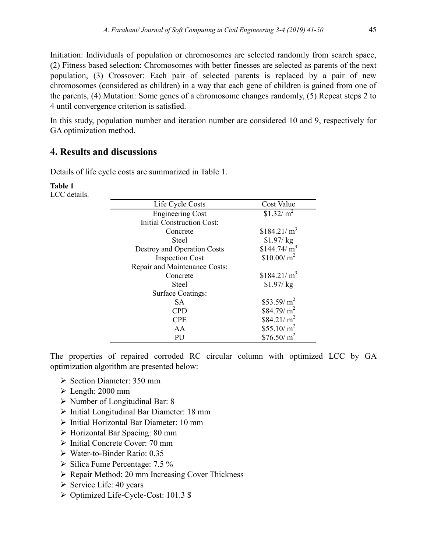Initiation: Individuals of population or chromosomes are selected randomly from search space, (2) Fitness based selection: Chromosomes with better finesses are selected as parents of the next population, (3) Crossover: Each pair of selected parents is replaced by a pair of new chromosomes (considered as children) in a way that each gene of children is gained from one of the parents, (4) Mutation: Some genes of a chromosome changes randomly, (5) Repeat steps 2 to 4 until convergence criterion is satisfied.

In this study, population number and iteration number are considered 10 and 9, respectively for GA optimization method.

## **4. Results and discussions**

Details of life cycle costs are summarized in Table 1.

#### **Table 1**

LCC details.

| Life Cycle Costs                  | Cost Value              |
|-----------------------------------|-------------------------|
| <b>Engineering Cost</b>           | \$1.32/m <sup>2</sup>   |
| <b>Initial Construction Cost:</b> |                         |
| Concrete                          | \$184.21/m <sup>3</sup> |
| Steel                             | $$1.97/$ kg             |
| Destroy and Operation Costs       | \$144.74/m <sup>3</sup> |
| <b>Inspection Cost</b>            | $$10.00/m^2$            |
| Repair and Maintenance Costs:     |                         |
| Concrete                          | \$184.21/m <sup>3</sup> |
| Steel                             | $$1.97/$ kg             |
| <b>Surface Coatings:</b>          |                         |
| <b>SA</b>                         | \$53.59/ $m2$           |
| <b>CPD</b>                        | $$84.79/m^2$            |
| <b>CPE</b>                        | $$84.21/m^2$            |
| AA                                | \$55.10/ $m2$           |
| PU                                | $$76.50/m^2$            |

The properties of repaired corroded RC circular column with optimized LCC by GA optimization algorithm are presented below:

- $\triangleright$  Section Diameter: 350 mm
- $\triangleright$  Length: 2000 mm
- Number of Longitudinal Bar: 8
- $\triangleright$  Initial Longitudinal Bar Diameter: 18 mm
- Initial Horizontal Bar Diameter: 10 mm
- Horizontal Bar Spacing: 80 mm
- $\triangleright$  Initial Concrete Cover: 70 mm
- Water-to-Binder Ratio: 0.35
- $\triangleright$  Silica Fume Percentage: 7.5 %
- Repair Method: 20 mm Increasing Cover Thickness
- $\triangleright$  Service Life: 40 years
- Optimized Life-Cycle-Cost: 101.3 \$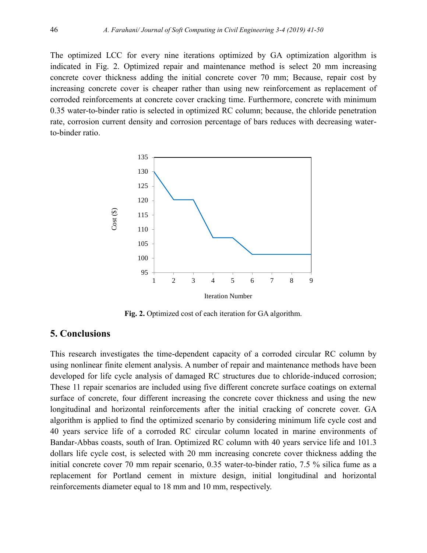The optimized LCC for every nine iterations optimized by GA optimization algorithm is indicated in Fig. 2. Optimized repair and maintenance method is select 20 mm increasing concrete cover thickness adding the initial concrete cover 70 mm; Because, repair cost by increasing concrete cover is cheaper rather than using new reinforcement as replacement of corroded reinforcements at concrete cover cracking time. Furthermore, concrete with minimum 0.35 water-to-binder ratio is selected in optimized RC column; because, the chloride penetration rate, corrosion current density and corrosion percentage of bars reduces with decreasing waterto-binder ratio.



**Fig. 2.** Optimized cost of each iteration for GA algorithm.

#### **5. Conclusions**

This research investigates the time-dependent capacity of a corroded circular RC column by using nonlinear finite element analysis. A number of repair and maintenance methods have been developed for life cycle analysis of damaged RC structures due to chloride-induced corrosion; These 11 repair scenarios are included using five different concrete surface coatings on external surface of concrete, four different increasing the concrete cover thickness and using the new longitudinal and horizontal reinforcements after the initial cracking of concrete cover. GA algorithm is applied to find the optimized scenario by considering minimum life cycle cost and 40 years service life of a corroded RC circular column located in marine environments of Bandar-Abbas coasts, south of Iran. Optimized RC column with 40 years service life and 101.3 dollars life cycle cost, is selected with 20 mm increasing concrete cover thickness adding the initial concrete cover 70 mm repair scenario, 0.35 water-to-binder ratio, 7.5 % silica fume as a replacement for Portland cement in mixture design, initial longitudinal and horizontal reinforcements diameter equal to 18 mm and 10 mm, respectively.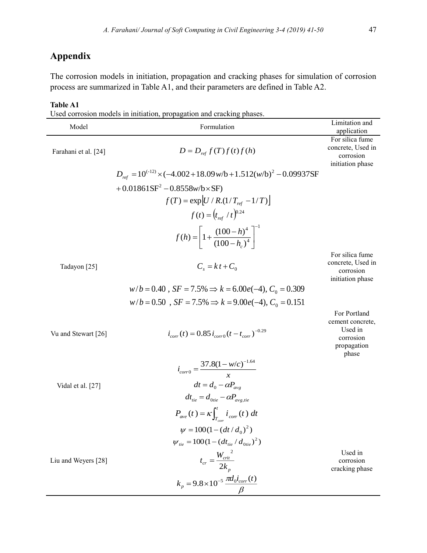# **Appendix**

The corrosion models in initiation, propagation and cracking phases for simulation of corrosion process are summarized in Table A1, and their parameters are defined in Table A2.

#### **Table A1**

Used corrosion models in initiation, propagation and cracking phases.

| Model                | corrosión moders in initiation, propagation and craeking phases.<br>Formulation                     | Limitation and<br>application                                                    |
|----------------------|-----------------------------------------------------------------------------------------------------|----------------------------------------------------------------------------------|
| Farahani et al. [24] | $D = D_{ref} f(T) f(t) f(h)$                                                                        | For silica fume<br>concrete, Used in<br>corrosion<br>initiation phase            |
|                      | $D_{ref} = 10^{(-12)} \times (-4.002 + 18.09 \text{w/b} + 1.512 \text{(w/b)}^2 - 0.09937 \text{SF}$ |                                                                                  |
|                      | +0.01861SF <sup>2</sup> -0.8558w/b×SF)                                                              |                                                                                  |
|                      | $f(T) = \exp[U / R (1/T_{ref} - 1/T)]$                                                              |                                                                                  |
|                      | $f(t) = (t_{ref} / t)^{0.24}$                                                                       |                                                                                  |
|                      | $f(h) = 1 + \frac{(100 - h)^4}{(100 - h)^4}$                                                        |                                                                                  |
| Tadayon [25]         | $C_{s} = k t + C_{0}$                                                                               | For silica fume<br>concrete, Used in<br>corrosion<br>initiation phase            |
|                      | $w/b = 0.40$ , $SF = 7.5\% \Rightarrow k = 6.00e(-4)$ , $C_0 = 0.309$                               |                                                                                  |
|                      | $w/b = 0.50$ , $SF = 7.5\% \Rightarrow k = 9.00e(-4)$ , $C_0 = 0.151$                               |                                                                                  |
| Vu and Stewart [26]  | $i_{corr}(t) = 0.85 i_{corr0}(t - t_{corr})^{-0.29}$                                                | For Portland<br>cement concrete,<br>Used in<br>corrosion<br>propagation<br>phase |
|                      | $i_{corr0} = \frac{37.8(1 - w/c)^{-1.64}}{x}$                                                       |                                                                                  |
| Vidal et al. [27]    | $dt = d_0 - \alpha P_{\text{ave}}$                                                                  |                                                                                  |
|                      | $dt_{\mu e} = d_{0tie} - \alpha P_{\text{ave,}tie}$                                                 |                                                                                  |
|                      | $P_{ave}(t) = \kappa \int_{T}^{t} i_{corr}(t) dt$                                                   |                                                                                  |
|                      | $\psi = 100(1 - (dt/d_0)^2)$                                                                        |                                                                                  |
|                      | $\psi_{\text{tie}} = 100(1 - (dt_{\text{tie}} / d_{\text{0tie}})^2)$                                |                                                                                  |
| Liu and Weyers [28]  | $t_{cr} = \frac{W_{crit}^2}{2k_p}$                                                                  | Used in<br>corrosion<br>cracking phase                                           |
|                      | $k_p = 9.8 \times 10^{-5} \frac{\pi d_0 i_{corr}(t)}{s}$                                            |                                                                                  |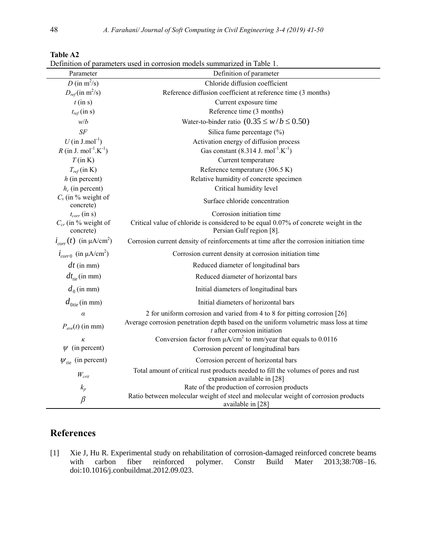| Parameter                                                  | Definition of parameters used in corrosion models summarized in Table 1.<br>Definition of parameter                                           |
|------------------------------------------------------------|-----------------------------------------------------------------------------------------------------------------------------------------------|
| D (in $m^2/s$ )                                            | Chloride diffusion coefficient                                                                                                                |
| $D_{ref}$ (in m <sup>2</sup> /s)                           | Reference diffusion coefficient at reference time (3 months)                                                                                  |
| $t$ (in s)                                                 | Current exposure time                                                                                                                         |
| $t_{ref}$ (in s)                                           | Reference time (3 months)                                                                                                                     |
| w/b                                                        | Water-to-binder ratio $(0.35 \le w/b \le 0.50)$                                                                                               |
| $S\!F$                                                     | Silica fume percentage (%)                                                                                                                    |
| $U$ (in J.mol <sup>-1</sup> )                              | Activation energy of diffusion process                                                                                                        |
| $R$ (in J. mol <sup>-1</sup> .K <sup>-1</sup> )            | Gas constant $(8.314 \text{ J. mol}^{-1} \text{K}^{-1})$                                                                                      |
| $T$ (in K)                                                 | Current temperature                                                                                                                           |
| $T_{ref}$ (in K)                                           | Reference temperature (306.5 K)                                                                                                               |
| $h$ (in percent)                                           | Relative humidity of concrete specimen                                                                                                        |
| $h_c$ (in percent)                                         | Critical humidity level                                                                                                                       |
| $C_s$ (in % weight of<br>concrete)                         | Surface chloride concentration                                                                                                                |
| $t_{corr}$ (in s)<br>$C_{cr}$ (in % weight of<br>concrete) | Corrosion initiation time<br>Critical value of chloride is considered to be equal 0.07% of concrete weight in the<br>Persian Gulf region [8]. |
| $i_{corr}(t)$ (in $\mu$ A/cm <sup>2</sup> )                | Corrosion current density of reinforcements at time after the corrosion initiation time                                                       |
|                                                            |                                                                                                                                               |
| $i_{corr0}$ (in $\mu$ A/cm <sup>2</sup> )                  | Corrosion current density at corrosion initiation time                                                                                        |
| $dt$ (in mm)                                               | Reduced diameter of longitudinal bars                                                                                                         |
| $dt_{\mu}$ (in mm)                                         | Reduced diameter of horizontal bars                                                                                                           |
| $d_0$ (in mm)                                              | Initial diameters of longitudinal bars                                                                                                        |
| $d_{0tie}$ (in mm)                                         | Initial diameters of horizontal bars                                                                                                          |
| $\alpha$                                                   | 2 for uniform corrosion and varied from 4 to 8 for pitting corrosion [26]                                                                     |
| $P_{ave}(t)$ (in mm)                                       | Average corrosion penetration depth based on the uniform volumetric mass loss at time<br>$t$ after corrosion initiation                       |
| к                                                          | Conversion factor from $\mu A/cm^2$ to mm/year that equals to 0.0116                                                                          |
| $\psi$ (in percent)                                        | Corrosion percent of longitudinal bars                                                                                                        |
| $W_{tie}$ (in percent)                                     | Corrosion percent of horizontal bars                                                                                                          |
| $W_{\text{crit}}$                                          | Total amount of critical rust products needed to fill the volumes of pores and rust<br>expansion available in [28]                            |
| $k_p$                                                      | Rate of the production of corrosion products                                                                                                  |
| $\beta$                                                    | Ratio between molecular weight of steel and molecular weight of corrosion products<br>available in [28]                                       |

**Table A2**

Definition of parameters used in corrosion models summarized in Table 1.

# **References**

[1] Xie J, Hu R. Experimental study on rehabilitation of corrosion-damaged reinforced concrete beams with carbon fiber reinforced polymer. Constr Build Mater 2013;38:708-16. carbon fiber reinforced polymer. Constr Build Mater doi:10.1016/j.conbuildmat.2012.09.023.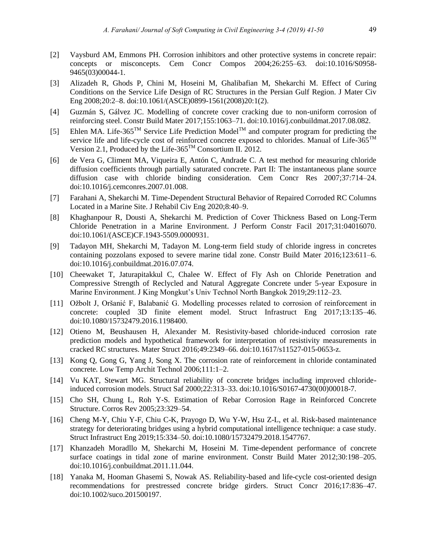- [2] Vaysburd AM, Emmons PH. Corrosion inhibitors and other protective systems in concrete repair: concepts or misconcepts. Cem Concr Compos 2004;26:255–63. doi:10.1016/S0958- 9465(03)00044-1.
- [3] Alizadeh R, Ghods P, Chini M, Hoseini M, Ghalibafian M, Shekarchi M. Effect of Curing Conditions on the Service Life Design of RC Structures in the Persian Gulf Region. J Mater Civ Eng 2008;20:2–8. doi:10.1061/(ASCE)0899-1561(2008)20:1(2).
- [4] Guzmán S, Gálvez JC. Modelling of concrete cover cracking due to non-uniform corrosion of reinforcing steel. Constr Build Mater 2017;155:1063–71. doi:10.1016/j.conbuildmat.2017.08.082.
- [5] Ehlen MA. Life-365<sup>TM</sup> Service Life Prediction Model<sup>TM</sup> and computer program for predicting the service life and life-cycle cost of reinforced concrete exposed to chlorides. Manual of Life-365<sup>TM</sup> Version 2.1, Produced by the Life- $365^{\text{TM}}$  Consortium II. 2012.
- [6] de Vera G, Climent MA, Viqueira E, Antón C, Andrade C. A test method for measuring chloride diffusion coefficients through partially saturated concrete. Part II: The instantaneous plane source diffusion case with chloride binding consideration. Cem Concr Res 2007;37:714–24. doi:10.1016/j.cemconres.2007.01.008.
- [7] Farahani A, Shekarchi M. Time-Dependent Structural Behavior of Repaired Corroded RC Columns Located in a Marine Site. J Rehabil Civ Eng 2020;8:40–9.
- [8] Khaghanpour R, Dousti A, Shekarchi M. Prediction of Cover Thickness Based on Long-Term Chloride Penetration in a Marine Environment. J Perform Constr Facil 2017;31:04016070. doi:10.1061/(ASCE)CF.1943-5509.0000931.
- [9] Tadayon MH, Shekarchi M, Tadayon M. Long-term field study of chloride ingress in concretes containing pozzolans exposed to severe marine tidal zone. Constr Build Mater 2016;123:611–6. doi:10.1016/j.conbuildmat.2016.07.074.
- [10] Cheewaket T, Jaturapitakkul C, Chalee W. Effect of Fly Ash on Chloride Penetration and Compressive Strength of Reclycled and Natural Aggregate Concrete under 5-year Exposure in Marine Environment. J King Mongkut's Univ Technol North Bangkok 2019;29:112–23.
- [11] Ožbolt J, Oršanić F, Balabanić G. Modelling processes related to corrosion of reinforcement in concrete: coupled 3D finite element model. Struct Infrastruct Eng 2017;13:135–46. doi:10.1080/15732479.2016.1198400.
- [12] Otieno M, Beushausen H, Alexander M. Resistivity-based chloride-induced corrosion rate prediction models and hypothetical framework for interpretation of resistivity measurements in cracked RC structures. Mater Struct 2016;49:2349–66. doi:10.1617/s11527-015-0653-z.
- [13] Kong Q, Gong G, Yang J, Song X. The corrosion rate of reinforcement in chloride contaminated concrete. Low Temp Archit Technol 2006;111:1–2.
- [14] Vu KAT, Stewart MG. Structural reliability of concrete bridges including improved chlorideinduced corrosion models. Struct Saf 2000;22:313–33. doi:10.1016/S0167-4730(00)00018-7.
- [15] Cho SH, Chung L, Roh Y-S. Estimation of Rebar Corrosion Rage in Reinforced Concrete Structure. Corros Rev 2005;23:329–54.
- [16] Cheng M-Y, Chiu Y-F, Chiu C-K, Prayogo D, Wu Y-W, Hsu Z-L, et al. Risk-based maintenance strategy for deteriorating bridges using a hybrid computational intelligence technique: a case study. Struct Infrastruct Eng 2019;15:334–50. doi:10.1080/15732479.2018.1547767.
- [17] Khanzadeh Moradllo M, Shekarchi M, Hoseini M. Time-dependent performance of concrete surface coatings in tidal zone of marine environment. Constr Build Mater 2012;30:198–205. doi:10.1016/j.conbuildmat.2011.11.044.
- [18] Yanaka M, Hooman Ghasemi S, Nowak AS. Reliability-based and life-cycle cost-oriented design recommendations for prestressed concrete bridge girders. Struct Concr 2016;17:836–47. doi:10.1002/suco.201500197.